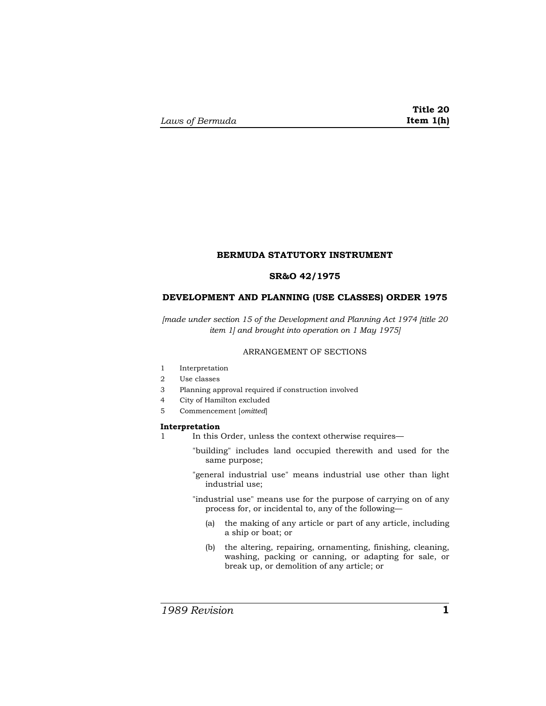## **BERMUDA STATUTORY INSTRUMENT**

## **SR&O 42/1975**

## **DEVELOPMENT AND PLANNING (USE CLASSES) ORDER 1975**

*[made under section 15 of the Development and Planning Act 1974 [title 20 item 1] and brought into operation on 1 May 1975]* 

## ARRANGEMENT OF SECTIONS

- 1 Interpretation
- 2 Use classes
- 3 Planning approval required if construction involved
- 4 City of Hamilton excluded
- 5 Commencement [*omitted*]

#### **Interpretation**

- 1 In this Order, unless the context otherwise requires—
	- "building" includes land occupied therewith and used for the same purpose;
	- "general industrial use" means industrial use other than light industrial use;
	- "industrial use" means use for the purpose of carrying on of any process for, or incidental to, any of the following—
		- (a) the making of any article or part of any article, including a ship or boat; or
		- (b) the altering, repairing, ornamenting, finishing, cleaning, washing, packing or canning, or adapting for sale, or break up, or demolition of any article; or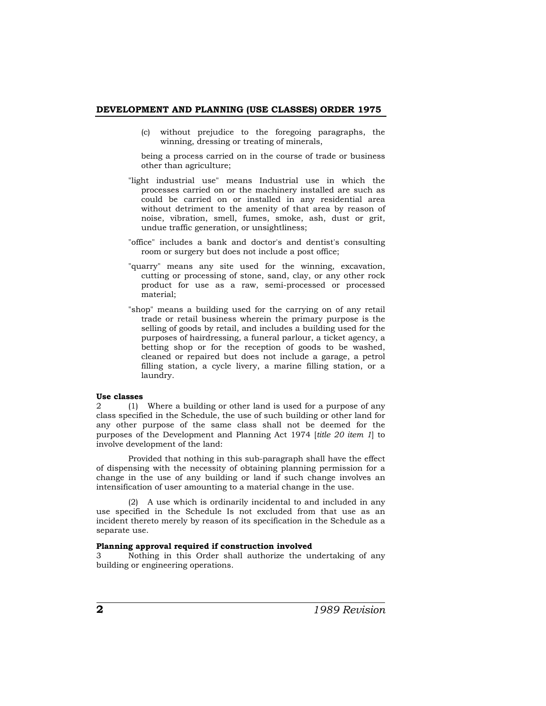### **DEVELOPMENT AND PLANNING (USE CLASSES) ORDER 1975**

(c) without prejudice to the foregoing paragraphs, the winning, dressing or treating of minerals,

 being a process carried on in the course of trade or business other than agriculture;

- "light industrial use" means Industrial use in which the processes carried on or the machinery installed are such as could be carried on or installed in any residential area without detriment to the amenity of that area by reason of noise, vibration, smell, fumes, smoke, ash, dust or grit, undue traffic generation, or unsightliness;
- "office" includes a bank and doctor's and dentist's consulting room or surgery but does not include a post office;
- "quarry" means any site used for the winning, excavation, cutting or processing of stone, sand, clay, or any other rock product for use as a raw, semi-processed or processed material;
- "shop" means a building used for the carrying on of any retail trade or retail business wherein the primary purpose is the selling of goods by retail, and includes a building used for the purposes of hairdressing, a funeral parlour, a ticket agency, a betting shop or for the reception of goods to be washed, cleaned or repaired but does not include a garage, a petrol filling station, a cycle livery, a marine filling station, or a laundry.

### **Use classes**

2 (1) Where a building or other land is used for a purpose of any class specified in the Schedule, the use of such building or other land for any other purpose of the same class shall not be deemed for the purposes of the Development and Planning Act 1974 [*title 20 item 1*] to involve development of the land:

Provided that nothing in this sub-paragraph shall have the effect of dispensing with the necessity of obtaining planning permission for a change in the use of any building or land if such change involves an intensification of user amounting to a material change in the use.

(2) A use which is ordinarily incidental to and included in any use specified in the Schedule Is not excluded from that use as an incident thereto merely by reason of its specification in the Schedule as a separate use.

### **Planning approval required if construction involved**

3 Nothing in this Order shall authorize the undertaking of any building or engineering operations.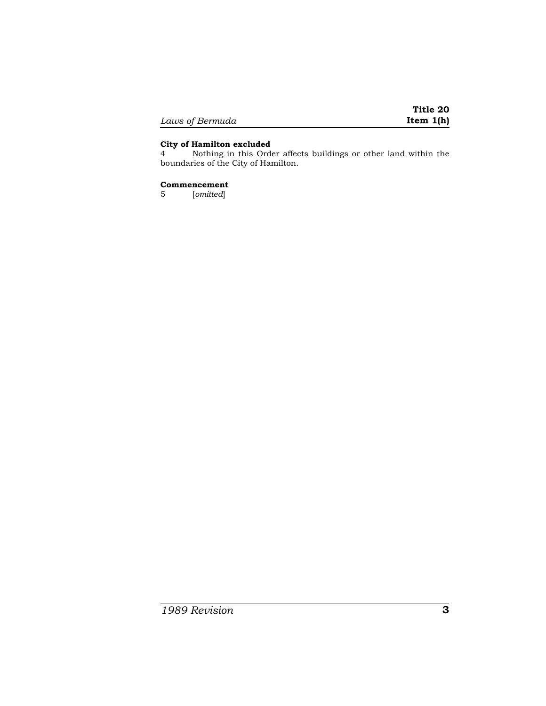|                 | Title 20    |
|-----------------|-------------|
| Laws of Bermuda | Item $1(h)$ |

## **City of Hamilton excluded**

4 Nothing in this Order affects buildings or other land within the boundaries of the City of Hamilton.

# **Commencement**

5 [*omitted*]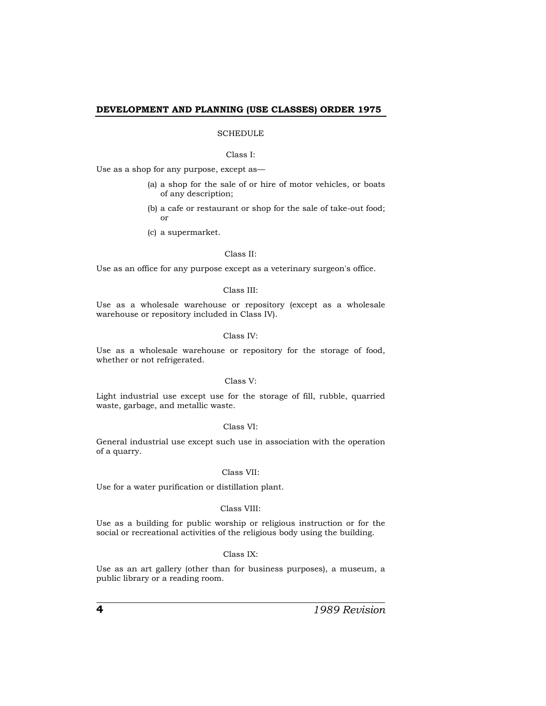## **DEVELOPMENT AND PLANNING (USE CLASSES) ORDER 1975**

## SCHEDULE

#### Class I:

Use as a shop for any purpose, except as—

- (a) a shop for the sale of or hire of motor vehicles, or boats of any description;
- (b) a cafe or restaurant or shop for the sale of take-out food; or
- (c) a supermarket.

### Class II:

Use as an office for any purpose except as a veterinary surgeon's office.

## Class III:

Use as a wholesale warehouse or repository (except as a wholesale warehouse or repository included in Class IV).

### Class IV:

Use as a wholesale warehouse or repository for the storage of food, whether or not refrigerated.

### Class V:

Light industrial use except use for the storage of fill, rubble, quarried waste, garbage, and metallic waste.

### Class VI:

General industrial use except such use in association with the operation of a quarry.

#### Class VII:

Use for a water purification or distillation plant.

### Class VIII:

Use as a building for public worship or religious instruction or for the social or recreational activities of the religious body using the building.

## Class IX:

Use as an art gallery (other than for business purposes), a museum, a public library or a reading room.